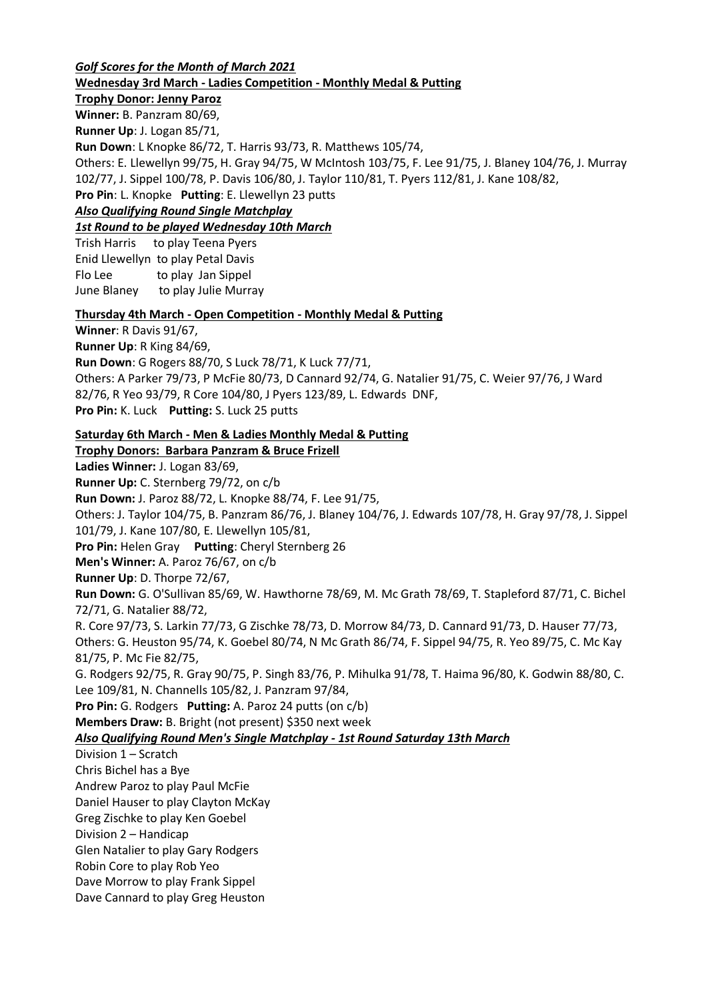*Golf Scores for the Month of March 2021* **Wednesday 3rd March - Ladies Competition - Monthly Medal & Putting**

**Trophy Donor: Jenny Paroz**

**Winner:** B. Panzram 80/69, **Runner Up**: J. Logan 85/71,

**Run Down**: L Knopke 86/72, T. Harris 93/73, R. Matthews 105/74,

Others: E. Llewellyn 99/75, H. Gray 94/75, W McIntosh 103/75, F. Lee 91/75, J. Blaney 104/76, J. Murray 102/77, J. Sippel 100/78, P. Davis 106/80, J. Taylor 110/81, T. Pyers 112/81, J. Kane 108/82,

**Pro Pin**: L. Knopke **Putting**: E. Llewellyn 23 putts

*Also Qualifying Round Single Matchplay*

*1st Round to be played Wednesday 10th March*

Trish Harris to play Teena Pyers Enid Llewellyn to play Petal Davis Flo Lee to play Jan Sippel June Blaney to play Julie Murray

# **Thursday 4th March - Open Competition - Monthly Medal & Putting**

**Winner**: R Davis 91/67,

**Runner Up**: R King 84/69,

**Run Down**: G Rogers 88/70, S Luck 78/71, K Luck 77/71,

Others: A Parker 79/73, P McFie 80/73, D Cannard 92/74, G. Natalier 91/75, C. Weier 97/76, J Ward 82/76, R Yeo 93/79, R Core 104/80, J Pyers 123/89, L. Edwards DNF,

**Pro Pin:** K. Luck **Putting:** S. Luck 25 putts

**Saturday 6th March - Men & Ladies Monthly Medal & Putting**

**Trophy Donors: Barbara Panzram & Bruce Frizell Ladies Winner:** J. Logan 83/69, **Runner Up:** C. Sternberg 79/72, on c/b **Run Down:** J. Paroz 88/72, L. Knopke 88/74, F. Lee 91/75, Others: J. Taylor 104/75, B. Panzram 86/76, J. Blaney 104/76, J. Edwards 107/78, H. Gray 97/78, J. Sippel 101/79, J. Kane 107/80, E. Llewellyn 105/81, **Pro Pin:** Helen Gray **Putting**: Cheryl Sternberg 26 **Men's Winner:** A. Paroz 76/67, on c/b **Runner Up**: D. Thorpe 72/67, **Run Down:** G. O'Sullivan 85/69, W. Hawthorne 78/69, M. Mc Grath 78/69, T. Stapleford 87/71, C. Bichel 72/71, G. Natalier 88/72, R. Core 97/73, S. Larkin 77/73, G Zischke 78/73, D. Morrow 84/73, D. Cannard 91/73, D. Hauser 77/73, Others: G. Heuston 95/74, K. Goebel 80/74, N Mc Grath 86/74, F. Sippel 94/75, R. Yeo 89/75, C. Mc Kay 81/75, P. Mc Fie 82/75, G. Rodgers 92/75, R. Gray 90/75, P. Singh 83/76, P. Mihulka 91/78, T. Haima 96/80, K. Godwin 88/80, C. Lee 109/81, N. Channells 105/82, J. Panzram 97/84, **Pro Pin:** G. Rodgers **Putting:** A. Paroz 24 putts (on c/b) **Members Draw:** B. Bright (not present) \$350 next week *Also Qualifying Round Men's Single Matchplay - 1st Round Saturday 13th March* Division 1 – Scratch Chris Bichel has a Bye Andrew Paroz to play Paul McFie Daniel Hauser to play Clayton McKay Greg Zischke to play Ken Goebel Division 2 – Handicap Glen Natalier to play Gary Rodgers Robin Core to play Rob Yeo Dave Morrow to play Frank Sippel Dave Cannard to play Greg Heuston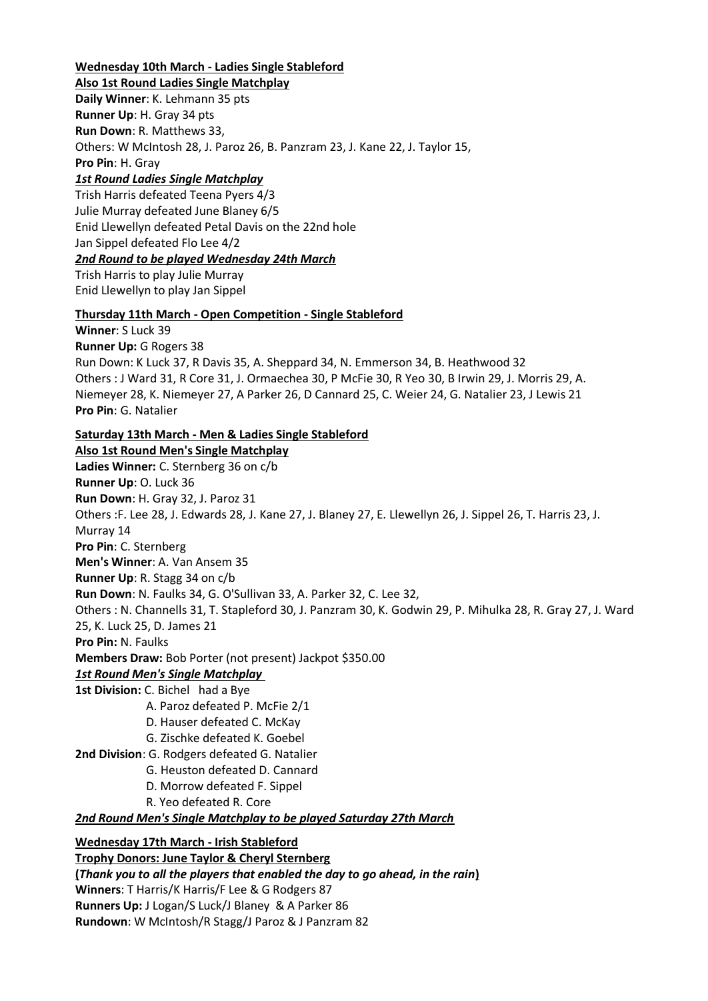# **Wednesday 10th March - Ladies Single Stableford**

**Also 1st Round Ladies Single Matchplay Daily Winner**: K. Lehmann 35 pts **Runner Up**: H. Gray 34 pts **Run Down**: R. Matthews 33, Others: W McIntosh 28, J. Paroz 26, B. Panzram 23, J. Kane 22, J. Taylor 15, **Pro Pin**: H. Gray *1st Round Ladies Single Matchplay*

Trish Harris defeated Teena Pyers 4/3 Julie Murray defeated June Blaney 6/5 Enid Llewellyn defeated Petal Davis on the 22nd hole Jan Sippel defeated Flo Lee 4/2 *2nd Round to be played Wednesday 24th March*

Trish Harris to play Julie Murray Enid Llewellyn to play Jan Sippel

### **Thursday 11th March - Open Competition - Single Stableford**

**Winner**: S Luck 39 **Runner Up:** G Rogers 38 Run Down: K Luck 37, R Davis 35, A. Sheppard 34, N. Emmerson 34, B. Heathwood 32 Others : J Ward 31, R Core 31, J. Ormaechea 30, P McFie 30, R Yeo 30, B Irwin 29, J. Morris 29, A. Niemeyer 28, K. Niemeyer 27, A Parker 26, D Cannard 25, C. Weier 24, G. Natalier 23, J Lewis 21 **Pro Pin**: G. Natalier

**Saturday 13th March - Men & Ladies Single Stableford**

**Also 1st Round Men's Single Matchplay**

**Ladies Winner:** C. Sternberg 36 on c/b **Runner Up**: O. Luck 36 **Run Down**: H. Gray 32, J. Paroz 31 Others :F. Lee 28, J. Edwards 28, J. Kane 27, J. Blaney 27, E. Llewellyn 26, J. Sippel 26, T. Harris 23, J. Murray 14 **Pro Pin**: C. Sternberg **Men's Winner**: A. Van Ansem 35 **Runner Up**: R. Stagg 34 on c/b **Run Down**: N. Faulks 34, G. O'Sullivan 33, A. Parker 32, C. Lee 32, Others : N. Channells 31, T. Stapleford 30, J. Panzram 30, K. Godwin 29, P. Mihulka 28, R. Gray 27, J. Ward 25, K. Luck 25, D. James 21 **Pro Pin:** N. Faulks **Members Draw:** Bob Porter (not present) Jackpot \$350.00 *1st Round Men's Single Matchplay* **1st Division:** C. Bichel had a Bye

- A. Paroz defeated P. McFie 2/1
- D. Hauser defeated C. McKay
- G. Zischke defeated K. Goebel
- **2nd Division**: G. Rodgers defeated G. Natalier
	- G. Heuston defeated D. Cannard
	- D. Morrow defeated F. Sippel
	- R. Yeo defeated R. Core

*2nd Round Men's Single Matchplay to be played Saturday 27th March*

### **Wednesday 17th March - Irish Stableford**

**Trophy Donors: June Taylor & Cheryl Sternberg (***Thank you to all the players that enabled the day to go ahead, in the rain***) Winners**: T Harris/K Harris/F Lee & G Rodgers 87 **Runners Up:** J Logan/S Luck/J Blaney & A Parker 86 **Rundown**: W McIntosh/R Stagg/J Paroz & J Panzram 82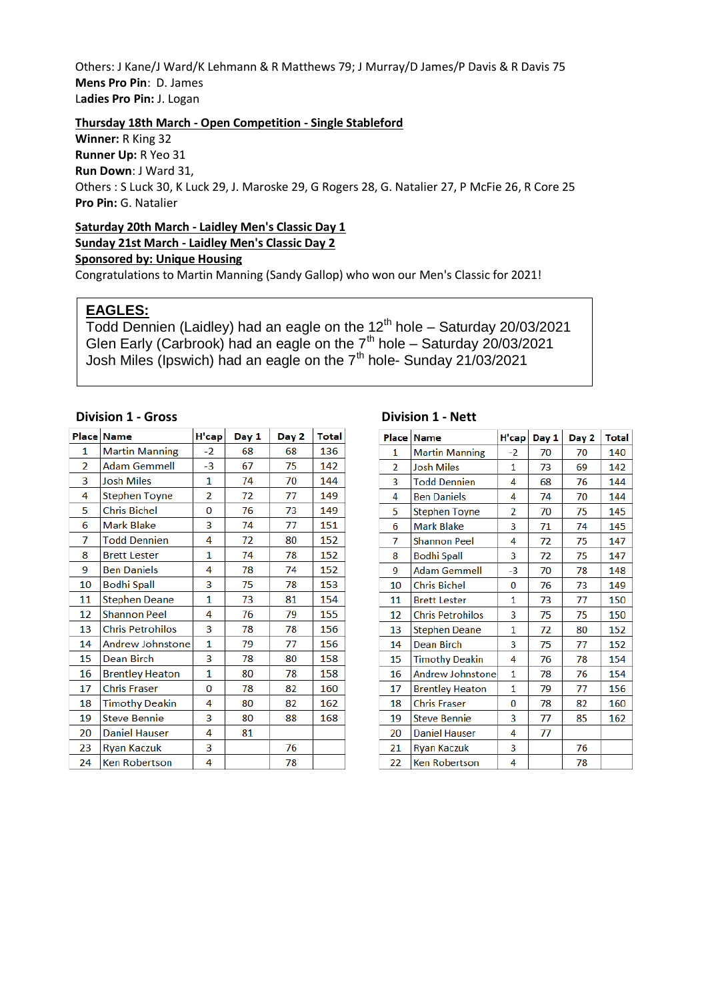Others: J Kane/J Ward/K Lehmann & R Matthews 79; J Murray/D James/P Davis & R Davis 75 **Mens Pro Pin**: D. James L**adies Pro Pin:** J. Logan

# **Thursday 18th March - Open Competition - Single Stableford**

**Winner:** R King 32 **Runner Up:** R Yeo 31 **Run Down**: J Ward 31,

Others : S Luck 30, K Luck 29, J. Maroske 29, G Rogers 28, G. Natalier 27, P McFie 26, R Core 25 **Pro Pin:** G. Natalier

## **Saturday 20th March - Laidley Men's Classic Day 1 Sunday 21st March - Laidley Men's Classic Day 2**

**Sponsored by: Unique Housing**

Congratulations to Martin Manning (Sandy Gallop) who won our Men's Classic for 2021!

# **EAGLES:**

Todd Dennien (Laidley) had an eagle on the 12<sup>th</sup> hole - Saturday 20/03/2021 Glen Early (Carbrook) had an eagle on the  $7<sup>th</sup>$  hole – Saturday 20/03/2021 Josh Miles (Ipswich) had an eagle on the  $7<sup>th</sup>$  hole- Sunday 21/03/2021

### **Division 1 - Gross Division 1 - Nett**

|                | Place Name              | H'cap        | Day 1 | Day 2 | <b>Total</b> |
|----------------|-------------------------|--------------|-------|-------|--------------|
| 1              | <b>Martin Manning</b>   | -2           | 68    | 68    | 136          |
| $\overline{2}$ | Adam Gemmell            | $-3$         | 67    | 75    | 142          |
| 3              | <b>Josh Miles</b>       | 1            | 74    | 70    | 144          |
| 4              | Stephen Toyne           | 2            | 72    | 77    | 149          |
| 5              | <b>Chris Bichel</b>     | 0            | 76    | 73    | 149          |
| 6              | <b>Mark Blake</b>       | 3            | 74    | 77    | 151          |
| 7              | <b>Todd Dennien</b>     | 4            | 72    | 80    | 152          |
| 8              | <b>Brett Lester</b>     | $\mathbf{1}$ | 74    | 78    | 152          |
| 9              | <b>Ben Daniels</b>      | 4            | 78    | 74    | 152          |
| 10             | <b>Bodhi Spall</b>      | 3            | 75    | 78    | 153          |
| 11             | Stephen Deane           | 1            | 73    | 81    | 154          |
| 12             | <b>Shannon Peel</b>     | 4            | 76    | 79    | 155          |
| 13             | <b>Chris Petrohilos</b> | 3            | 78    | 78    | 156          |
| 14             | Andrew Johnstone        | 1            | 79    | 77    | 156          |
| 15             | <b>Dean Birch</b>       | 3            | 78    | 80    | 158          |
| 16             | <b>Brentley Heaton</b>  | $\mathbf{1}$ | 80    | 78    | 158          |
| 17             | <b>Chris Fraser</b>     | 0            | 78    | 82    | 160          |
| 18             | <b>Timothy Deakin</b>   | 4            | 80    | 82    | 162          |
| 19             | <b>Steve Bennie</b>     | 3            | 80    | 88    | 168          |
| 20             | <b>Daniel Hauser</b>    | 4            | 81    |       |              |
| 23             | <b>Ryan Kaczuk</b>      | 3            |       | 76    |              |
| 24             | <b>Ken Robertson</b>    | 4            |       | 78    |              |

| Place          | <b>Name</b>             | H'cap          | Day 1 | Day 2 | <b>Total</b> |
|----------------|-------------------------|----------------|-------|-------|--------------|
| 1              | <b>Martin Manning</b>   | -2             | 70    | 70    | 140          |
| $\overline{2}$ | <b>Josh Miles</b>       | 1              | 73    | 69    | 142          |
| 3              | <b>Todd Dennien</b>     | 4              | 68    | 76    | 144          |
| 4              | <b>Ben Daniels</b>      | 4              | 74    | 70    | 144          |
| 5              | <b>Stephen Toyne</b>    | $\overline{2}$ | 70    | 75    | 145          |
| 6              | <b>Mark Blake</b>       | 3              | 71    | 74    | 145          |
| 7              | <b>Shannon Peel</b>     | 4              | 72    | 75    | 147          |
| 8              | <b>Bodhi Spall</b>      | 3              | 72    | 75    | 147          |
| 9              | <b>Adam Gemmell</b>     | -3             | 70    | 78    | 148          |
| 10             | <b>Chris Bichel</b>     | 0              | 76    | 73    | 149          |
| 11             | <b>Brett Lester</b>     | 1              | 73    | 77    | 150          |
| 12             | <b>Chris Petrohilos</b> | 3              | 75    | 75    | 150          |
| 13             | <b>Stephen Deane</b>    | 1              | 72    | 80    | 152          |
| 14             | <b>Dean Birch</b>       | 3              | 75    | 77    | 152          |
| 15             | <b>Timothy Deakin</b>   | 4              | 76    | 78    | 154          |
| 16             | <b>Andrew Johnstone</b> | $\mathbf{1}$   | 78    | 76    | 154          |
| 17             | <b>Brentley Heaton</b>  | $\mathbf{1}$   | 79    | 77    | 156          |
| 18             | <b>Chris Fraser</b>     | 0              | 78    | 82    | 160          |
| 19             | <b>Steve Bennie</b>     | 3              | 77    | 85    | 162          |
| 20             | <b>Daniel Hauser</b>    | 4              | 77    |       |              |
| 21             | <b>Ryan Kaczuk</b>      | 3              |       | 76    |              |
| 22             | <b>Ken Robertson</b>    | 4              |       | 78    |              |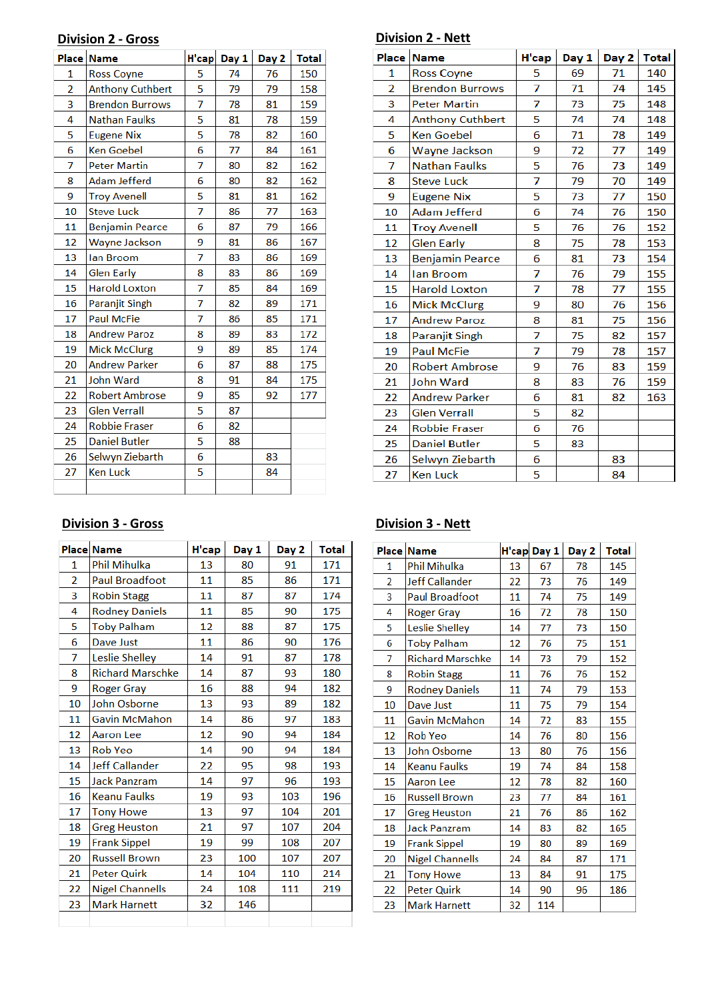# **Division 2 - Gross Division 2 - Nett**

|                | Place Name              | H'cap | Day 1 | Day 2 | <b>Total</b> |
|----------------|-------------------------|-------|-------|-------|--------------|
| 1              | <b>Ross Coyne</b>       | 5     | 74    | 76    | 150          |
| $\overline{2}$ | <b>Anthony Cuthbert</b> | 5     | 79    | 79    | 158          |
| 3              | <b>Brendon Burrows</b>  | 7     | 78    | 81    | 159          |
| 4              | <b>Nathan Faulks</b>    | 5     | 81    | 78    | 159          |
| 5              | <b>Eugene Nix</b>       | 5     | 78    | 82    | 160          |
| 6              | <b>Ken Goebel</b>       | 6     | 77    | 84    | 161          |
| 7              | <b>Peter Martin</b>     | 7     | 80    | 82    | 162          |
| 8              | Adam Jefferd            | 6     | 80    | 82    | 162          |
| 9              | <b>Troy Avenell</b>     | 5     | 81    | 81    | 162          |
| 10             | <b>Steve Luck</b>       | 7     | 86    | 77    | 163          |
| 11             | <b>Benjamin Pearce</b>  | 6     | 87    | 79    | 166          |
| 12             | <b>Wayne Jackson</b>    | 9     | 81    | 86    | 167          |
| 13             | lan Broom               | 7     | 83    | 86    | 169          |
| 14             | <b>Glen Early</b>       | 8     | 83    | 86    | 169          |
| 15             | <b>Harold Loxton</b>    | 7     | 85    | 84    | 169          |
| 16             | <b>Paranjit Singh</b>   | 7     | 82    | 89    | 171          |
| 17             | <b>Paul McFie</b>       | 7     | 86    | 85    | 171          |
| 18             | <b>Andrew Paroz</b>     | 8     | 89    | 83    | 172          |
| 19             | <b>Mick McClurg</b>     | 9     | 89    | 85    | 174          |
| 20             | <b>Andrew Parker</b>    | 6     | 87    | 88    | 175          |
| 21             | <b>John Ward</b>        | 8     | 91    | 84    | 175          |
| 22             | <b>Robert Ambrose</b>   | 9     | 85    | 92    | 177          |
| 23             | <b>Glen Verrall</b>     | 5     | 87    |       |              |
| 24             | <b>Robbie Fraser</b>    | 6     | 82    |       |              |
| 25             | <b>Daniel Butler</b>    | 5     | 88    |       |              |
| 26             | Selwyn Ziebarth         | 6     |       | 83    |              |
| 27             | <b>Ken Luck</b>         | 5     |       | 84    |              |
|                |                         |       |       |       |              |

|    | Place Name              | H'cap | Day 1 | Day 2 | <b>Total</b> |
|----|-------------------------|-------|-------|-------|--------------|
| 1  | <b>Ross Coyne</b>       | 5     | 69    | 71    | 140          |
| 2  | <b>Brendon Burrows</b>  | 7     | 71    | 74    | 145          |
| 3  | <b>Peter Martin</b>     | 7     | 73    | 75    | 148          |
| 4  | <b>Anthony Cuthbert</b> | 5     | 74    | 74    | 148          |
| 5  | <b>Ken Goebel</b>       | 6     | 71    | 78    | 149          |
| 6  | Wayne Jackson           | 9     | 72    | 77    | 149          |
| 7  | <b>Nathan Faulks</b>    | 5     | 76    | 73    | 149          |
| 8  | <b>Steve Luck</b>       | 7     | 79    | 70    | 149          |
| 9  | <b>Eugene Nix</b>       | 5     | 73    | 77    | 150          |
| 10 | <b>Adam Jefferd</b>     | 6     | 74    | 76    | 150          |
| 11 | <b>Troy Avenell</b>     | 5     | 76    | 76    | 152          |
| 12 | <b>Glen Early</b>       | 8     | 75    | 78    | 153          |
| 13 | <b>Benjamin Pearce</b>  | 6     | 81    | 73    | 154          |
| 14 | lan Broom               | 7     | 76    | 79    | 155          |
| 15 | <b>Harold Loxton</b>    | 7     | 78    | 77    | 155          |
| 16 | <b>Mick McClurg</b>     | 9     | 80    | 76    | 156          |
| 17 | <b>Andrew Paroz</b>     | 8     | 81    | 75    | 156          |
| 18 | Paranjit Singh          | 7     | 75    | 82    | 157          |
| 19 | <b>Paul McFie</b>       | 7     | 79    | 78    | 157          |
| 20 | <b>Robert Ambrose</b>   | 9     | 76    | 83    | 159          |
| 21 | <b>John Ward</b>        | 8     | 83    | 76    | 159          |
| 22 | <b>Andrew Parker</b>    | 6     | 81    | 82    | 163          |
| 23 | <b>Glen Verrall</b>     | 5     | 82    |       |              |
| 24 | <b>Robbie Fraser</b>    | 6     | 76    |       |              |
| 25 | <b>Daniel Butler</b>    | 5     | 83    |       |              |
| 26 | Selwyn Ziebarth         | 6     |       | 83    |              |
| 27 | <b>Ken Luck</b>         | 5     |       | 84    |              |

# **Division 3 - Gross Division 3 - Nett**

|                | <b>Place Name</b>       | H'cap | Day 1 | Day 2 | <b>Total</b> |
|----------------|-------------------------|-------|-------|-------|--------------|
| $\mathbf{1}$   | <b>Phil Mihulka</b>     | 13    | 80    | 91    | 171          |
| $\overline{2}$ | <b>Paul Broadfoot</b>   | 11    | 85    | 86    | 171          |
| 3              | <b>Robin Stagg</b>      | 11    | 87    | 87    | 174          |
| 4              | <b>Rodney Daniels</b>   | 11    | 85    | 90    | 175          |
| 5              | <b>Toby Palham</b>      | 12    | 88    | 87    | 175          |
| 6              | Dave Just               | 11    | 86    | 90    | 176          |
| 7              | Leslie Shelley          | 14    | 91    | 87    | 178          |
| 8              | <b>Richard Marschke</b> | 14    | 87    | 93    | 180          |
| 9              | Roger Gray              | 16    | 88    | 94    | 182          |
| 10             | John Osborne            | 13    | 93    | 89    | 182          |
| 11             | <b>Gavin McMahon</b>    | 14    | 86    | 97    | 183          |
| 12             | Aaron Lee               | 12    | 90    | 94    | 184          |
| 13             | <b>Rob Yeo</b>          | 14    | 90    | 94    | 184          |
| 14             | <b>Jeff Callander</b>   | 22    | 95    | 98    | 193          |
| 15             | <b>Jack Panzram</b>     | 14    | 97    | 96    | 193          |
| 16             | <b>Keanu Faulks</b>     | 19    | 93    | 103   | 196          |
| 17             | <b>Tony Howe</b>        | 13    | 97    | 104   | 201          |
| 18             | <b>Greg Heuston</b>     | 21    | 97    | 107   | 204          |
| 19             | <b>Frank Sippel</b>     | 19    | 99    | 108   | 207          |
| 20             | <b>Russell Brown</b>    | 23    | 100   | 107   | 207          |
| 21             | <b>Peter Quirk</b>      | 14    | 104   | 110   | 214          |
| 22             | <b>Nigel Channells</b>  | 24    | 108   | 111   | 219          |
| 23             | <b>Mark Harnett</b>     | 32    | 146   |       |              |
|                |                         |       |       |       |              |

|                | Place Name              |    | H'cap Day 1 | Day 2 | <b>Total</b> |
|----------------|-------------------------|----|-------------|-------|--------------|
| 1              | <b>Phil Mihulka</b>     | 13 | 67          | 78    | 145          |
| $\overline{2}$ | <b>Jeff Callander</b>   | 22 | 73          | 76    | 149          |
| 3              | <b>Paul Broadfoot</b>   | 11 | 74          | 75    | 149          |
| 4              | <b>Roger Gray</b>       | 16 | 72          | 78    | 150          |
| 5              | Leslie Shelley          | 14 | 77          | 73    | 150          |
| 6              | <b>Toby Palham</b>      | 12 | 76          | 75    | 151          |
| 7              | <b>Richard Marschke</b> | 14 | 73          | 79    | 152          |
| 8              | <b>Robin Stagg</b>      | 11 | 76          | 76    | 152          |
| 9              | <b>Rodney Daniels</b>   | 11 | 74          | 79    | 153          |
| 10             | Dave Just               | 11 | 75          | 79    | 154          |
| 11             | Gavin McMahon           | 14 | 72          | 83    | 155          |
| 12             | <b>Rob Yeo</b>          | 14 | 76          | 80    | 156          |
| 13             | John Osborne            | 13 | 80          | 76    | 156          |
| 14             | <b>Keanu Faulks</b>     | 19 | 74          | 84    | 158          |
| 15             | Aaron Lee               | 12 | 78          | 82    | 160          |
| 16             | <b>Russell Brown</b>    | 23 | 77          | 84    | 161          |
| 17             | <b>Greg Heuston</b>     | 21 | 76          | 86    | 162          |
| 18             | <b>Jack Panzram</b>     | 14 | 83          | 82    | 165          |
| 19             | <b>Frank Sippel</b>     | 19 | 80          | 89    | 169          |
| 20             | <b>Nigel Channells</b>  | 24 | 84          | 87    | 171          |
| 21             | <b>Tony Howe</b>        | 13 | 84          | 91    | 175          |
| 22             | <b>Peter Quirk</b>      | 14 | 90          | 96    | 186          |
| 23             | <b>Mark Harnett</b>     | 32 | 114         |       |              |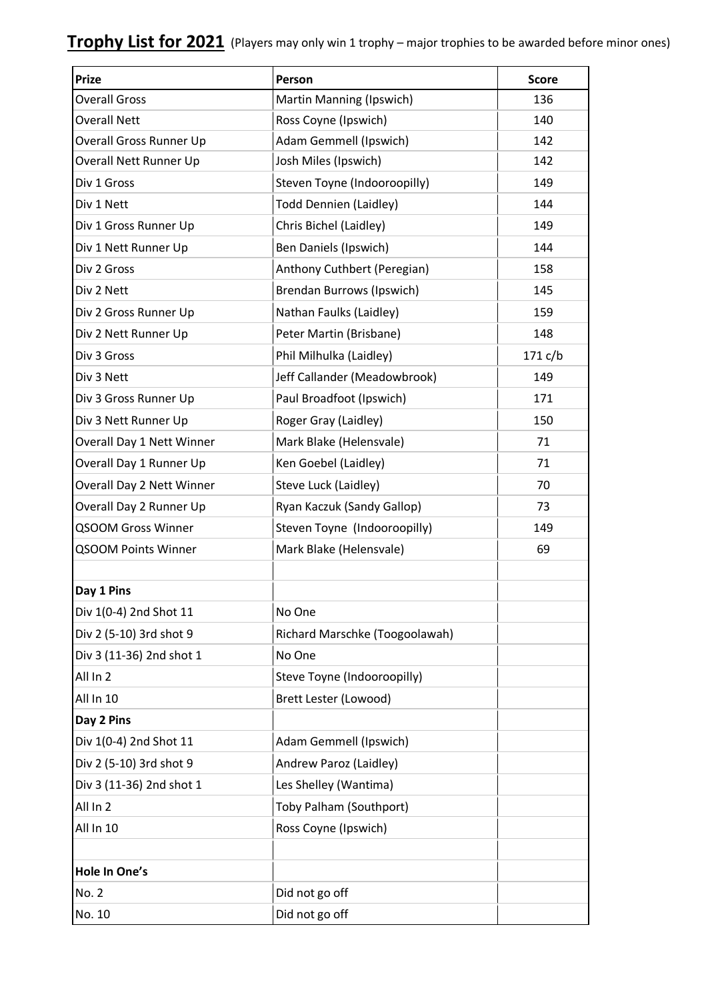| <b>Prize</b>                     | Person                           | <b>Score</b> |
|----------------------------------|----------------------------------|--------------|
| <b>Overall Gross</b>             | Martin Manning (Ipswich)         | 136          |
| <b>Overall Nett</b>              | Ross Coyne (Ipswich)             | 140          |
| Overall Gross Runner Up          | Adam Gemmell (Ipswich)           | 142          |
| Overall Nett Runner Up           | Josh Miles (Ipswich)             | 142          |
| Div 1 Gross                      | Steven Toyne (Indooroopilly)     | 149          |
| Div 1 Nett                       | <b>Todd Dennien (Laidley)</b>    | 144          |
| Div 1 Gross Runner Up            | Chris Bichel (Laidley)           | 149          |
| Div 1 Nett Runner Up             | Ben Daniels (Ipswich)            | 144          |
| Div 2 Gross                      | Anthony Cuthbert (Peregian)      | 158          |
| Div 2 Nett                       | <b>Brendan Burrows (Ipswich)</b> | 145          |
| Div 2 Gross Runner Up            | Nathan Faulks (Laidley)          | 159          |
| Div 2 Nett Runner Up             | Peter Martin (Brisbane)          | 148          |
| Div 3 Gross                      | Phil Milhulka (Laidley)          | 171 c/b      |
| Div 3 Nett                       | Jeff Callander (Meadowbrook)     | 149          |
| Div 3 Gross Runner Up            | Paul Broadfoot (Ipswich)         | 171          |
| Div 3 Nett Runner Up             | Roger Gray (Laidley)             | 150          |
| Overall Day 1 Nett Winner        | Mark Blake (Helensvale)          | 71           |
| Overall Day 1 Runner Up          | Ken Goebel (Laidley)             | 71           |
| <b>Overall Day 2 Nett Winner</b> | Steve Luck (Laidley)             | 70           |
| Overall Day 2 Runner Up          | Ryan Kaczuk (Sandy Gallop)       | 73           |
| <b>QSOOM Gross Winner</b>        | Steven Toyne (Indooroopilly)     | 149          |
| <b>QSOOM Points Winner</b>       | Mark Blake (Helensvale)          | 69           |
|                                  |                                  |              |
| Day 1 Pins                       |                                  |              |
| Div 1(0-4) 2nd Shot 11           | No One                           |              |
| Div 2 (5-10) 3rd shot 9          | Richard Marschke (Toogoolawah)   |              |
| Div 3 (11-36) 2nd shot 1         | No One                           |              |
| All In 2                         | Steve Toyne (Indooroopilly)      |              |
| All In 10                        | Brett Lester (Lowood)            |              |
| Day 2 Pins                       |                                  |              |
| Div 1(0-4) 2nd Shot 11           | Adam Gemmell (Ipswich)           |              |
| Div 2 (5-10) 3rd shot 9          | Andrew Paroz (Laidley)           |              |
| Div 3 (11-36) 2nd shot 1         | Les Shelley (Wantima)            |              |
| All In 2                         | Toby Palham (Southport)          |              |
| All In 10                        | Ross Coyne (Ipswich)             |              |
|                                  |                                  |              |
| Hole In One's                    |                                  |              |
| No. 2                            | Did not go off                   |              |
| No. 10                           | Did not go off                   |              |